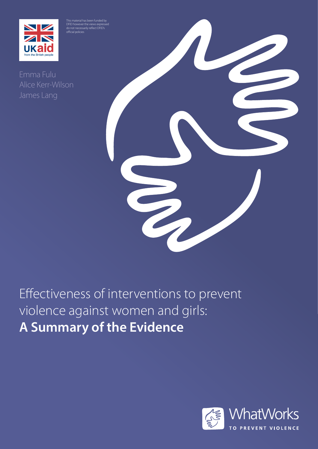

.<br>ficial policies

Alice Kerr-Wilson



# Effectiveness of interventions to prevent violence against women and girls: **A Summary of the Evidence**

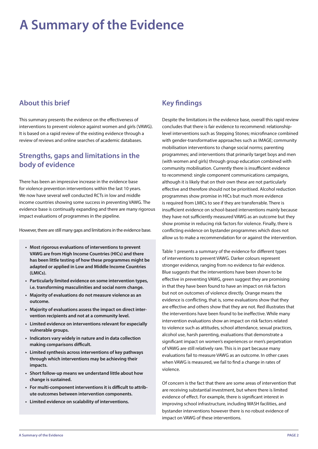## **A Summary of the Evidence**

#### **About this brief**

This summary presents the evidence on the effectiveness of interventions to prevent violence against women and girls (VAWG). It is based on a rapid review of the existing evidence through a review of reviews and online searches of academic databases.

#### **Strengths, gaps and limitations in the body of evidence**

There has been an impressive increase in the evidence base for violence prevention interventions within the last 10 years. We now have several well conducted RCTs in low and middle income countries showing some success in preventing VAWG. The evidence base is continually expanding and there are many rigorous impact evaluations of programmes in the pipeline.

However, there are still many gaps and limitations in the evidence base.

- **• Most rigorous evaluations of interventions to prevent VAWG are from High Income Countries (HICs) and there has been little testing of how these programmes might be adapted or applied in Low and Middle Income Countries (LMICs).**
- **• Particularly limited evidence on some intervention types, i.e. transforming masculinities and social norm change.**
- **• Majority of evaluations do not measure violence as an outcome.**
- **• Majority of evaluations assess the impact on direct intervention recipients and not at a community level.**
- **• Limited evidence on interventions relevant for especially vulnerable groups.**
- **• Indicators vary widely in nature and in data collection making comparisons difficult.**
- **• Limited synthesis across interventions of key pathways through which interventions may be achieving their impacts.**
- **• Short follow-up means we understand little about how change is sustained.**
- **• For multi-component interventions it is difficult to attribute outcomes between intervention components.**
- **• Limited evidence on scalability of interventions.**

### **Key findings**

Despite the limitations in the evidence base, overall this rapid review concludes that there is fair evidence to recommend: relationshiplevel interventions such as Stepping Stones; microfinance combined with gender-transformative approaches such as IMAGE; community mobilisation interventions to change social norms; parenting programmes; and interventions that primarily target boys and men (with women and girls) through group education combined with community mobilisation. Currently there is insufficient evidence to recommend: single component communications campaigns, although it is likely that on their own these are not particularly effective and therefore should not be prioritised. Alcohol reduction programmes show promise in HICs but much more evidence is required from LMICs to see if they are transferrable. There is insufficient evidence on school-based interventions mainly because they have not sufficiently measured VAWG as an outcome but they show promise in reducing risk factors for violence. Finally, there is conflicting evidence on bystander programmes which does not allow us to make a recommendation for or against the intervention.

Table 1 presents a summary of the evidence for different types of interventions to prevent VAWG. Darker colours represent stronger evidence, ranging from no evidence to fair evidence. Blue suggests that the interventions have been shown to be effective in preventing VAWG, green suggest they are promising in that they have been found to have an impact on risk factors but not on outcomes of violence directly. Orange means the evidence is conflicting, that is, some evaluations show that they are effective and others show that they are not. Red illustrates that the interventions have been found to be ineffective. While many intervention evaluations show an impact on risk factors related to violence such as attitudes, school attendance, sexual practices, alcohol use, harsh parenting, evaluations that demonstrate a significant impact on women's experiences or men's perpetration of VAWG are still relatively rare. This is in part because many evaluations fail to measure VAWG as an outcome. In other cases when VAWG is measured, we fail to find a change in rates of violence.

Of concern is the fact that there are some areas of intervention that are receiving substantial investment, but where there is limited evidence of effect. For example, there is significant interest in improving school infrastructure, including WASH facilities, and bystander interventions however there is no robust evidence of impact on VAWG of these interventions.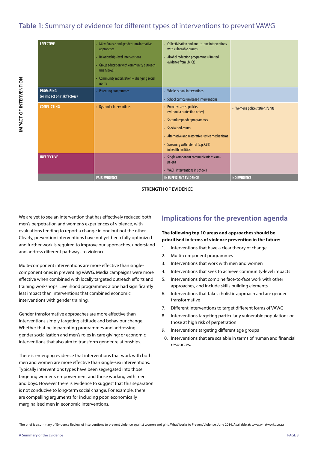#### **Table 1**: Summary of evidence for different types of interventions to prevent VAWG

| <b>EFFECTIVE</b>                                | • Microfinance and gender transformative<br>approaches<br>• Relationship-level interventions<br>• Group education with community outreach<br>(men/boys)<br>• Community mobilisation - changing social<br>norms | • Collectivisation and one-to-one interventions<br>with vulnerable groups<br>• Alcohol reduction programmes (limited<br>evidence from LMICs)                                                                                             |                                 |
|-------------------------------------------------|----------------------------------------------------------------------------------------------------------------------------------------------------------------------------------------------------------------|------------------------------------------------------------------------------------------------------------------------------------------------------------------------------------------------------------------------------------------|---------------------------------|
| <b>PROMISING</b><br>(or impact on risk factors) | • Parenting programmes                                                                                                                                                                                         | • Whole-school interventions<br>• School curriculum based interventions                                                                                                                                                                  |                                 |
| <b>CONFLICTING</b>                              | • Bystander interventions                                                                                                                                                                                      | • Proactive arrest policies<br>(without a protection order)<br>• Second responder programmes<br>• Specialised courts<br>• Alternative and restorative justice mechanisms<br>• Screening with referral (e.g. CBT)<br>in health facilities | • Women's police stations/units |
| <b>INEFFECTIVE</b>                              |                                                                                                                                                                                                                | • Single component communications cam-<br>paigns<br>• WASH interventions in schools                                                                                                                                                      |                                 |
|                                                 | <b>FAIR EVIDENCE</b>                                                                                                                                                                                           | <b>INSUFFICIENT EVIDENCE</b>                                                                                                                                                                                                             | <b>NO EVIDENCE</b>              |

**STRENGTH OF EVIDENCE**

We are yet to see an intervention that has effectively reduced both men's perpetration and women's experiences of violence, with evaluations tending to report a change in one but not the other. Clearly, prevention interventions have not yet been fully optimized and further work is required to improve our approaches, understand and address different pathways to violence.

Multi-component interventions are more effective than singlecomponent ones in preventing VAWG. Media campaigns were more effective when combined with locally targeted outreach efforts and training workshops. Livelihood programmes alone had significantly less impact than interventions that combined economic interventions with gender training.

Gender transformative approaches are more effective than interventions simply targeting attitude and behaviour change. Whether that be in parenting programmes and addressing gender socialization and men's roles in care giving; or economic interventions that also aim to transform gender relationships.

There is emerging evidence that interventions that work with both men and women are more effective than single-sex interventions. Typically interventions types have been segregated into those targeting women's empowerment and those working with men and boys. However there is evidence to suggest that this separation is not conducive to long-term social change. For example, there are compelling arguments for including poor, economically marginalised men in economic interventions.

#### **Implications for the prevention agenda**

#### **The following top 10 areas and approaches should be prioritised in terms of violence prevention in the future:**

- 1. Interventions that have a clear theory of change
- 2. Multi-component programmes
- 3. Interventions that work with men and women
- 4. Interventions that seek to achieve community-level impacts
- 5. Interventions that combine face-to-face work with other approaches, and include skills building elements
- 6. Interventions that take a holistic approach and are gender transformative
- 7. Different interventions to target different forms of VAWG
- Interventions targeting particularly vulnerable populations or those at high risk of perpetration
- 9. Interventions targeting different age groups
- 10. Interventions that are scalable in terms of human and financial resources.

The brief is a summary of Evidence Review of interventions to prevent violence against women and girls. What Works to Prevent Violence, June 2014. Available at: www.whatworks.co.za